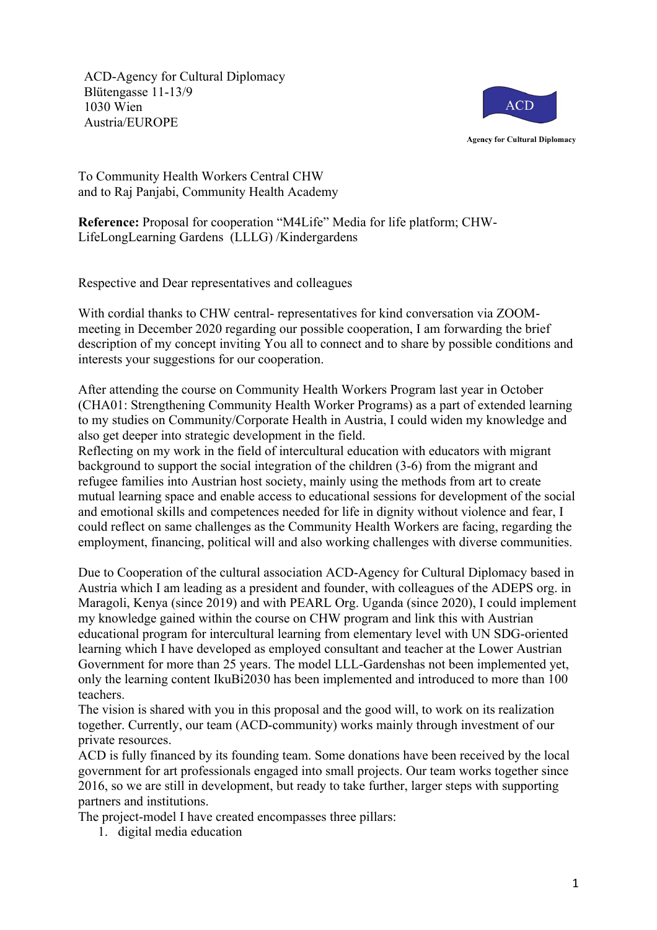ACD-Agency for Cultural Diplomacy Blütengasse 11-13/9 1030 Wien Austria/EUROPE



To Community Health Workers Central CHW and to Raj Panjabi, Community Health Academy

**Reference:** Proposal for cooperation "M4Life" Media for life platform; CHW-LifeLongLearning Gardens (LLLG) /Kindergardens

Respective and Dear representatives and colleagues

With cordial thanks to CHW central- representatives for kind conversation via ZOOMmeeting in December 2020 regarding our possible cooperation, I am forwarding the brief description of my concept inviting You all to connect and to share by possible conditions and interests your suggestions for our cooperation.

After attending the course on Community Health Workers Program last year in October (CHA01: Strengthening Community Health Worker Programs) as a part of extended learning to my studies on Community/Corporate Health in Austria, I could widen my knowledge and also get deeper into strategic development in the field.

Reflecting on my work in the field of intercultural education with educators with migrant background to support the social integration of the children (3-6) from the migrant and refugee families into Austrian host society, mainly using the methods from art to create mutual learning space and enable access to educational sessions for development of the social and emotional skills and competences needed for life in dignity without violence and fear, I could reflect on same challenges as the Community Health Workers are facing, regarding the employment, financing, political will and also working challenges with diverse communities.

Due to Cooperation of the cultural association ACD-Agency for Cultural Diplomacy based in Austria which I am leading as a president and founder, with colleagues of the ADEPS org. in Maragoli, Kenya (since 2019) and with PEARL Org. Uganda (since 2020), I could implement my knowledge gained within the course on CHW program and link this with Austrian educational program for intercultural learning from elementary level with UN SDG-oriented learning which I have developed as employed consultant and teacher at the Lower Austrian Government for more than 25 years. The model LLL-Gardenshas not been implemented yet, only the learning content IkuBi2030 has been implemented and introduced to more than 100 teachers.

The vision is shared with you in this proposal and the good will, to work on its realization together. Currently, our team (ACD-community) works mainly through investment of our private resources.

ACD is fully financed by its founding team. Some donations have been received by the local government for art professionals engaged into small projects. Our team works together since 2016, so we are still in development, but ready to take further, larger steps with supporting partners and institutions.

The project-model I have created encompasses three pillars:

1. digital media education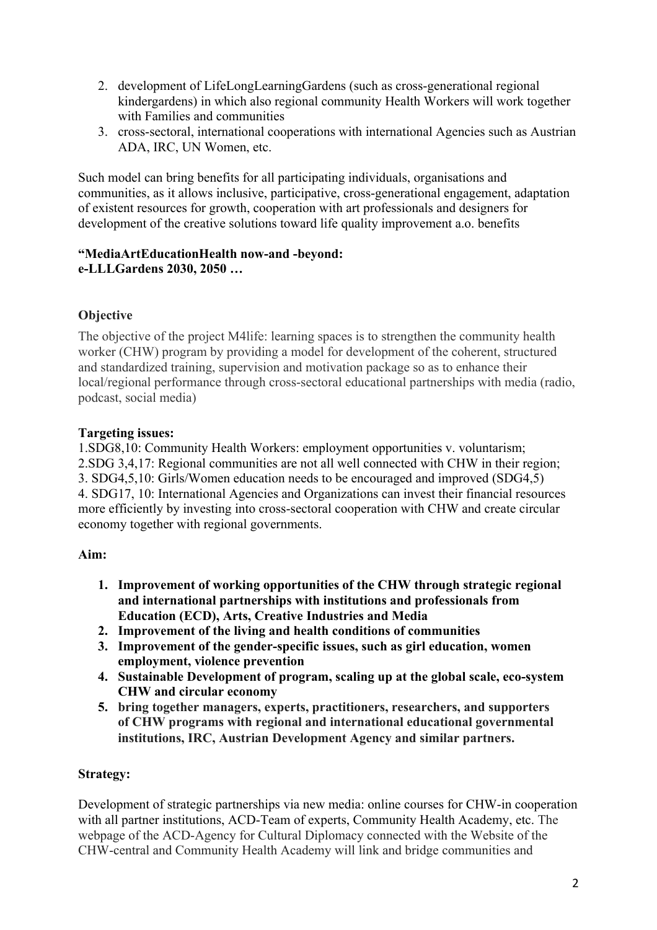- 2. development of LifeLongLearningGardens (such as cross-generational regional kindergardens) in which also regional community Health Workers will work together with Families and communities
- 3. cross-sectoral, international cooperations with international Agencies such as Austrian ADA, IRC, UN Women, etc.

Such model can bring benefits for all participating individuals, organisations and communities, as it allows inclusive, participative, cross-generational engagement, adaptation of existent resources for growth, cooperation with art professionals and designers for development of the creative solutions toward life quality improvement a.o. benefits

## **"MediaArtEducationHealth now-and -beyond: e-LLLGardens 2030, 2050 …**

# **Objective**

The objective of the project M4life: learning spaces is to strengthen the community health worker (CHW) program by providing a model for development of the coherent, structured and standardized training, supervision and motivation package so as to enhance their local/regional performance through cross-sectoral educational partnerships with media (radio, podcast, social media)

# **Targeting issues:**

1.SDG8,10: Community Health Workers: employment opportunities v. voluntarism; 2.SDG 3,4,17: Regional communities are not all well connected with CHW in their region; 3. SDG4,5,10: Girls/Women education needs to be encouraged and improved (SDG4,5) 4. SDG17, 10: International Agencies and Organizations can invest their financial resources more efficiently by investing into cross-sectoral cooperation with CHW and create circular economy together with regional governments.

## **Aim:**

- **1. Improvement of working opportunities of the CHW through strategic regional and international partnerships with institutions and professionals from Education (ECD), Arts, Creative Industries and Media**
- **2. Improvement of the living and health conditions of communities**
- **3. Improvement of the gender-specific issues, such as girl education, women employment, violence prevention**
- **4. Sustainable Development of program, scaling up at the global scale, eco-system CHW and circular economy**
- **5. bring together managers, experts, practitioners, researchers, and supporters of CHW programs with regional and international educational governmental institutions, IRC, Austrian Development Agency and similar partners.**

# **Strategy:**

Development of strategic partnerships via new media: online courses for CHW-in cooperation with all partner institutions, ACD-Team of experts, Community Health Academy, etc. The webpage of the ACD-Agency for Cultural Diplomacy connected with the Website of the CHW-central and Community Health Academy will link and bridge communities and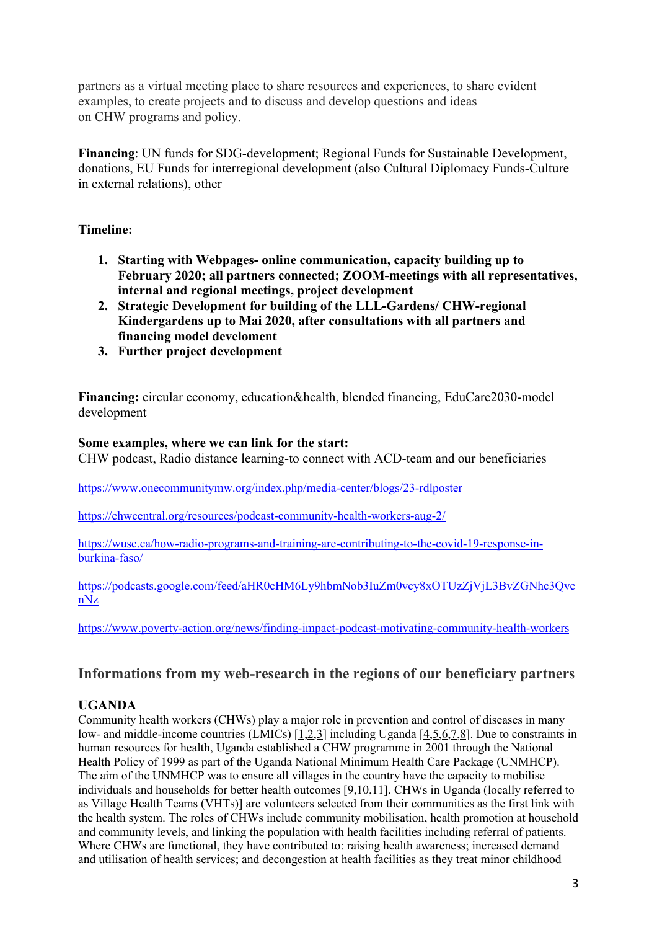partners as a virtual meeting place to share resources and experiences, to share evident examples, to create projects and to discuss and develop questions and ideas on CHW programs and policy.

**Financing**: UN funds for SDG-development; Regional Funds for Sustainable Development, donations, EU Funds for interregional development (also Cultural Diplomacy Funds-Culture in external relations), other

## **Timeline:**

- **1. Starting with Webpages- online communication, capacity building up to February 2020; all partners connected; ZOOM-meetings with all representatives, internal and regional meetings, project development**
- **2. Strategic Development for building of the LLL-Gardens/ CHW-regional Kindergardens up to Mai 2020, after consultations with all partners and financing model develoment**
- **3. Further project development**

**Financing:** circular economy, education&health, blended financing, EduCare2030-model development

## **Some examples, where we can link for the start:**

CHW podcast, Radio distance learning-to connect with ACD-team and our beneficiaries

https://www.onecommunitymw.org/index.php/media-center/blogs/23-rdlposter

https://chwcentral.org/resources/podcast-community-health-workers-aug-2/

https://wusc.ca/how-radio-programs-and-training-are-contributing-to-the-covid-19-response-inburkina-faso/

https://podcasts.google.com/feed/aHR0cHM6Ly9hbmNob3IuZm0vcy8xOTUzZjVjL3BvZGNhc3Qvc nNz

https://www.poverty-action.org/news/finding-impact-podcast-motivating-community-health-workers

# **Informations from my web-research in the regions of our beneficiary partners**

# **UGANDA**

Community health workers (CHWs) play a major role in prevention and control of diseases in many low- and middle-income countries (LMICs) [1,2,3] including Uganda [4,5,6,7,8]. Due to constraints in human resources for health, Uganda established a CHW programme in 2001 through the National Health Policy of 1999 as part of the Uganda National Minimum Health Care Package (UNMHCP). The aim of the UNMHCP was to ensure all villages in the country have the capacity to mobilise individuals and households for better health outcomes [9,10,11]. CHWs in Uganda (locally referred to as Village Health Teams (VHTs)] are volunteers selected from their communities as the first link with the health system. The roles of CHWs include community mobilisation, health promotion at household and community levels, and linking the population with health facilities including referral of patients. Where CHWs are functional, they have contributed to: raising health awareness; increased demand and utilisation of health services; and decongestion at health facilities as they treat minor childhood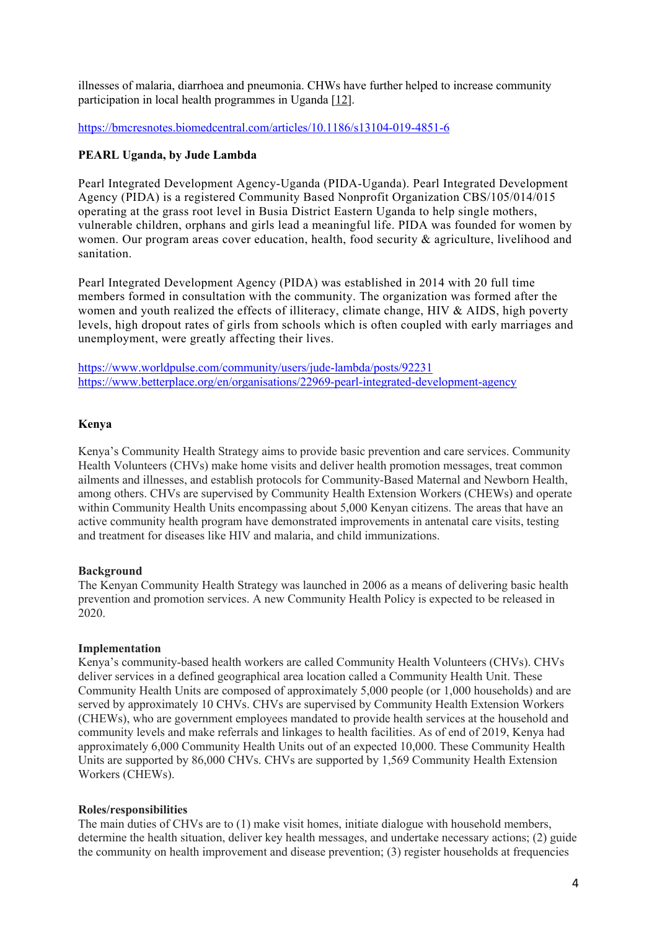illnesses of malaria, diarrhoea and pneumonia. CHWs have further helped to increase community participation in local health programmes in Uganda [12].

https://bmcresnotes.biomedcentral.com/articles/10.1186/s13104-019-4851-6

## **PEARL Uganda, by Jude Lambda**

Pearl Integrated Development Agency-Uganda (PIDA-Uganda). Pearl Integrated Development Agency (PIDA) is a registered Community Based Nonprofit Organization CBS/105/014/015 operating at the grass root level in Busia District Eastern Uganda to help single mothers, vulnerable children, orphans and girls lead a meaningful life. PIDA was founded for women by women. Our program areas cover education, health, food security & agriculture, livelihood and sanitation.

Pearl Integrated Development Agency (PIDA) was established in 2014 with 20 full time members formed in consultation with the community. The organization was formed after the women and youth realized the effects of illiteracy, climate change, HIV & AIDS, high poverty levels, high dropout rates of girls from schools which is often coupled with early marriages and unemployment, were greatly affecting their lives.

https://www.worldpulse.com/community/users/jude-lambda/posts/92231 https://www.betterplace.org/en/organisations/22969-pearl-integrated-development-agency

## **Kenya**

Kenya's Community Health Strategy aims to provide basic prevention and care services. Community Health Volunteers (CHVs) make home visits and deliver health promotion messages, treat common ailments and illnesses, and establish protocols for Community-Based Maternal and Newborn Health, among others. CHVs are supervised by Community Health Extension Workers (CHEWs) and operate within Community Health Units encompassing about 5,000 Kenyan citizens. The areas that have an active community health program have demonstrated improvements in antenatal care visits, testing and treatment for diseases like HIV and malaria, and child immunizations.

### **Background**

The Kenyan Community Health Strategy was launched in 2006 as a means of delivering basic health prevention and promotion services. A new Community Health Policy is expected to be released in 2020.

### **Implementation**

Kenya's community-based health workers are called Community Health Volunteers (CHVs). CHVs deliver services in a defined geographical area location called a Community Health Unit. These Community Health Units are composed of approximately 5,000 people (or 1,000 households) and are served by approximately 10 CHVs. CHVs are supervised by Community Health Extension Workers (CHEWs), who are government employees mandated to provide health services at the household and community levels and make referrals and linkages to health facilities. As of end of 2019, Kenya had approximately 6,000 Community Health Units out of an expected 10,000. These Community Health Units are supported by 86,000 CHVs. CHVs are supported by 1,569 Community Health Extension Workers (CHEWs).

### **Roles/responsibilities**

The main duties of CHVs are to (1) make visit homes, initiate dialogue with household members, determine the health situation, deliver key health messages, and undertake necessary actions; (2) guide the community on health improvement and disease prevention; (3) register households at frequencies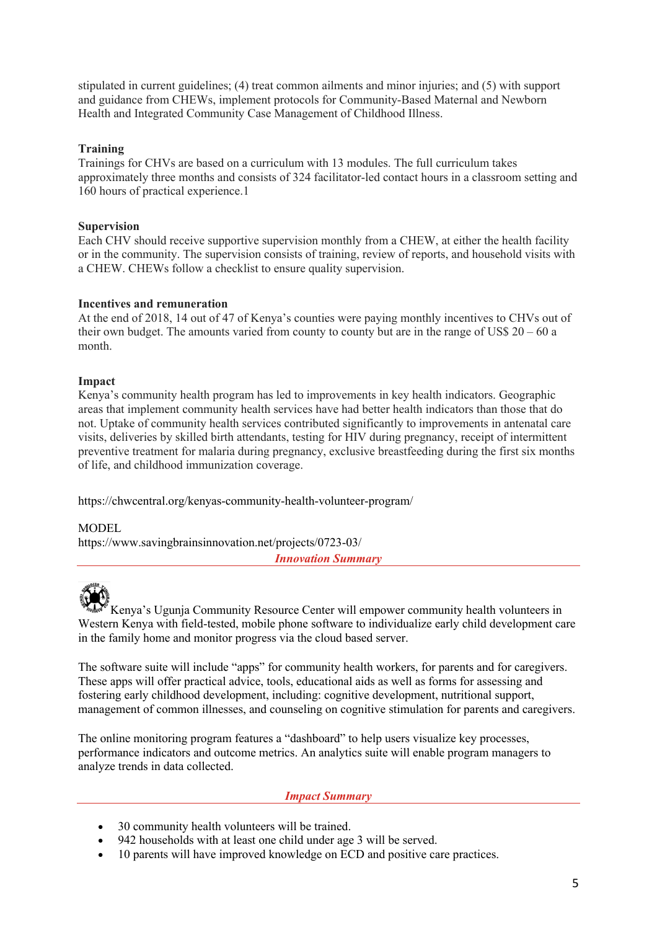stipulated in current guidelines; (4) treat common ailments and minor injuries; and (5) with support and guidance from CHEWs, implement protocols for Community-Based Maternal and Newborn Health and Integrated Community Case Management of Childhood Illness.

## **Training**

Trainings for CHVs are based on a curriculum with 13 modules. The full curriculum takes approximately three months and consists of 324 facilitator-led contact hours in a classroom setting and 160 hours of practical experience.1

## **Supervision**

Each CHV should receive supportive supervision monthly from a CHEW, at either the health facility or in the community. The supervision consists of training, review of reports, and household visits with a CHEW. CHEWs follow a checklist to ensure quality supervision.

## **Incentives and remuneration**

At the end of 2018, 14 out of 47 of Kenya's counties were paying monthly incentives to CHVs out of their own budget. The amounts varied from county to county but are in the range of US\$  $20 - 60$  a month.

## **Impact**

Kenya's community health program has led to improvements in key health indicators. Geographic areas that implement community health services have had better health indicators than those that do not. Uptake of community health services contributed significantly to improvements in antenatal care visits, deliveries by skilled birth attendants, testing for HIV during pregnancy, receipt of intermittent preventive treatment for malaria during pregnancy, exclusive breastfeeding during the first six months of life, and childhood immunization coverage.

https://chwcentral.org/kenyas-community-health-volunteer-program/

## MODEL.

https://www.savingbrainsinnovation.net/projects/0723-03/

*Innovation Summary*



Kenya's Ugunja Community Resource Center will empower community health volunteers in Western Kenya with field-tested, mobile phone software to individualize early child development care in the family home and monitor progress via the cloud based server.

The software suite will include "apps" for community health workers, for parents and for caregivers. These apps will offer practical advice, tools, educational aids as well as forms for assessing and fostering early childhood development, including: cognitive development, nutritional support, management of common illnesses, and counseling on cognitive stimulation for parents and caregivers.

The online monitoring program features a "dashboard" to help users visualize key processes, performance indicators and outcome metrics. An analytics suite will enable program managers to analyze trends in data collected.

### *Impact Summary*

- 30 community health volunteers will be trained.
- 942 households with at least one child under age 3 will be served.
- 10 parents will have improved knowledge on ECD and positive care practices.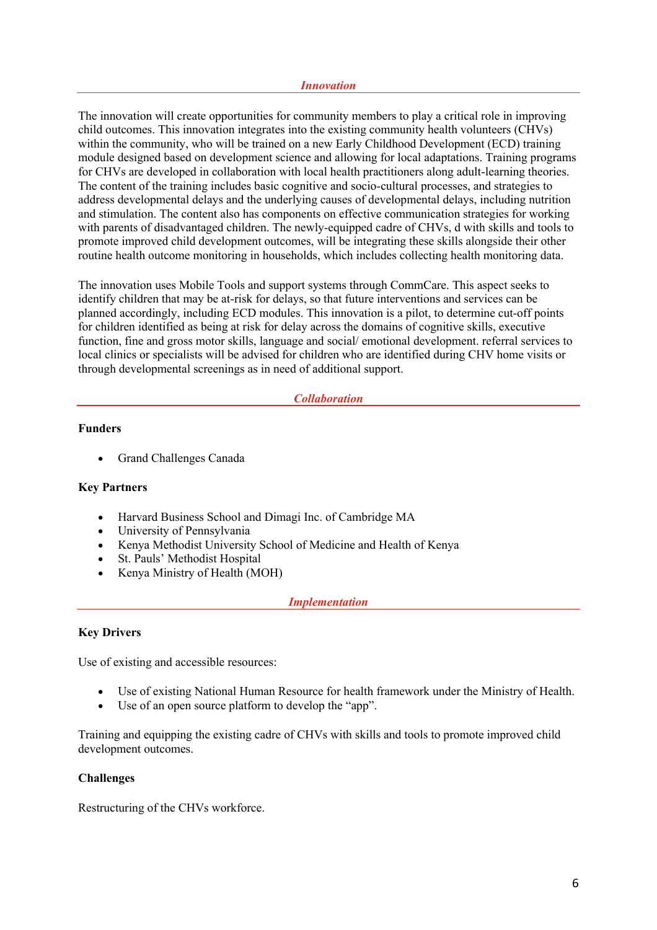#### *Innovation*

The innovation will create opportunities for community members to play a critical role in improving child outcomes. This innovation integrates into the existing community health volunteers (CHVs) within the community, who will be trained on a new Early Childhood Development (ECD) training module designed based on development science and allowing for local adaptations. Training programs for CHVs are developed in collaboration with local health practitioners along adult-learning theories. The content of the training includes basic cognitive and socio-cultural processes, and strategies to address developmental delays and the underlying causes of developmental delays, including nutrition and stimulation. The content also has components on effective communication strategies for working with parents of disadvantaged children. The newly-equipped cadre of CHVs, d with skills and tools to promote improved child development outcomes, will be integrating these skills alongside their other routine health outcome monitoring in households, which includes collecting health monitoring data.

The innovation uses Mobile Tools and support systems through CommCare. This aspect seeks to identify children that may be at-risk for delays, so that future interventions and services can be planned accordingly, including ECD modules. This innovation is a pilot, to determine cut-off points for children identified as being at risk for delay across the domains of cognitive skills, executive function, fine and gross motor skills, language and social/ emotional development. referral services to local clinics or specialists will be advised for children who are identified during CHV home visits or through developmental screenings as in need of additional support.

### *Collaboration*

## **Funders**

• Grand Challenges Canada

### **Key Partners**

- Harvard Business School and Dimagi Inc. of Cambridge MA
- University of Pennsylvania
- Kenya Methodist University School of Medicine and Health of Kenya
- St. Pauls' Methodist Hospital
- Kenya Ministry of Health (MOH)

## *Implementation*

### **Key Drivers**

Use of existing and accessible resources:

- Use of existing National Human Resource for health framework under the Ministry of Health.
- Use of an open source platform to develop the "app".

Training and equipping the existing cadre of CHVs with skills and tools to promote improved child development outcomes.

## **Challenges**

Restructuring of the CHVs workforce.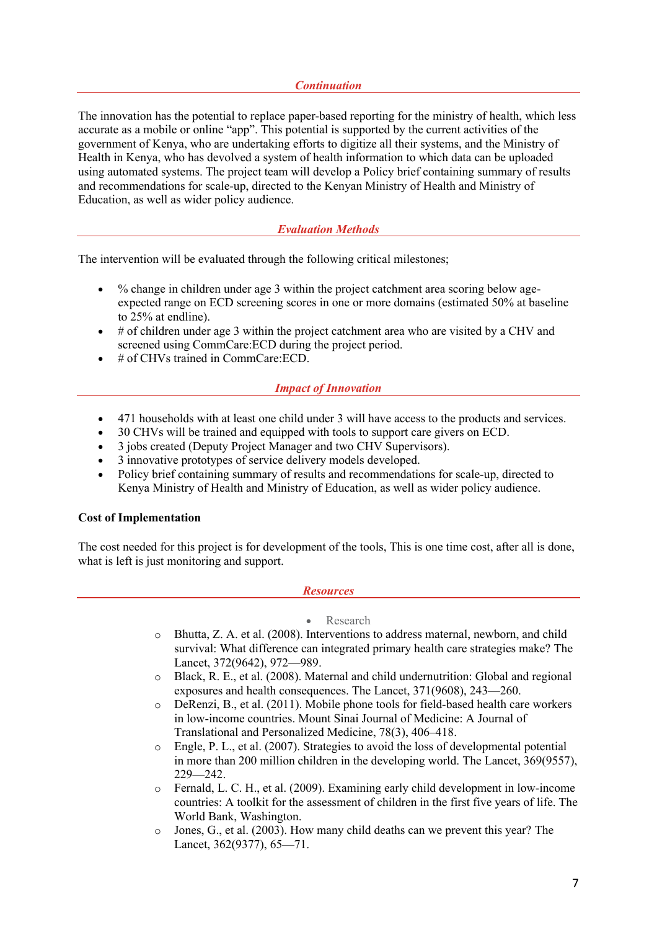## *Continuation*

The innovation has the potential to replace paper-based reporting for the ministry of health, which less accurate as a mobile or online "app". This potential is supported by the current activities of the government of Kenya, who are undertaking efforts to digitize all their systems, and the Ministry of Health in Kenya, who has devolved a system of health information to which data can be uploaded using automated systems. The project team will develop a Policy brief containing summary of results and recommendations for scale-up, directed to the Kenyan Ministry of Health and Ministry of Education, as well as wider policy audience.

## *Evaluation Methods*

The intervention will be evaluated through the following critical milestones;

- % change in children under age 3 within the project catchment area scoring below ageexpected range on ECD screening scores in one or more domains (estimated 50% at baseline to 25% at endline).
- # of children under age 3 within the project catchment area who are visited by a CHV and screened using CommCare:ECD during the project period.
- # of CHVs trained in CommCare: ECD.

## *Impact of Innovation*

- 471 households with at least one child under 3 will have access to the products and services.
- 30 CHVs will be trained and equipped with tools to support care givers on ECD.
- 3 jobs created (Deputy Project Manager and two CHV Supervisors).
- 3 innovative prototypes of service delivery models developed.
- Policy brief containing summary of results and recommendations for scale-up, directed to Kenya Ministry of Health and Ministry of Education, as well as wider policy audience.

### **Cost of Implementation**

The cost needed for this project is for development of the tools, This is one time cost, after all is done, what is left is just monitoring and support.

### *Resources*

### • Research

- o Bhutta, Z. A. et al. (2008). Interventions to address maternal, newborn, and child survival: What difference can integrated primary health care strategies make? The Lancet, 372(9642), 972—989.
- o Black, R. E., et al. (2008). Maternal and child undernutrition: Global and regional exposures and health consequences. The Lancet, 371(9608), 243—260.
- o DeRenzi, B., et al. (2011). Mobile phone tools for field-based health care workers in low-income countries. Mount Sinai Journal of Medicine: A Journal of Translational and Personalized Medicine, 78(3), 406–418.
- $\circ$  Engle, P. L., et al. (2007). Strategies to avoid the loss of developmental potential in more than 200 million children in the developing world. The Lancet, 369(9557), 229—242.
- o Fernald, L. C. H., et al. (2009). Examining early child development in low-income countries: A toolkit for the assessment of children in the first five years of life. The World Bank, Washington.
- o Jones, G., et al. (2003). How many child deaths can we prevent this year? The Lancet, 362(9377), 65—71.